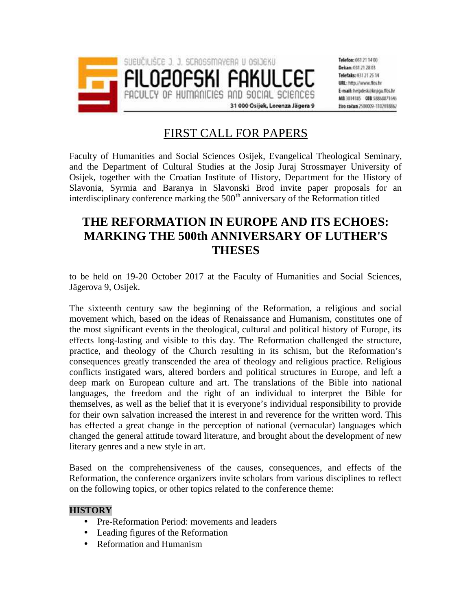

Telefon: 051 21 14 00 Dekan: 011 21 28 03 Telefaks: 031 21 25 14 URL: http://www.flos.hr E-mail: helpdeskijkniga.flos.hr MB 3014185 018 58868871646 žiro račun 2500009-1102018862

# FIRST CALL FOR PAPERS

Faculty of Humanities and Social Sciences Osijek, Evangelical Theological Seminary, and the Department of Cultural Studies at the Josip Juraj Strossmayer University of Osijek, together with the Croatian Institute of History, Department for the History of Slavonia, Syrmia and Baranya in Slavonski Brod invite paper proposals for an interdisciplinary conference marking the  $500<sup>th</sup>$  anniversary of the Reformation titled

# **THE REFORMATION IN EUROPE AND ITS ECHOES: MARKING THE 500th ANNIVERSARY OF LUTHER'S THESES**

to be held on 19-20 October 2017 at the Faculty of Humanities and Social Sciences, Jägerova 9, Osijek.

The sixteenth century saw the beginning of the Reformation, a religious and social movement which, based on the ideas of Renaissance and Humanism, constitutes one of the most significant events in the theological, cultural and political history of Europe, its effects long-lasting and visible to this day. The Reformation challenged the structure, practice, and theology of the Church resulting in its schism, but the Reformation's consequences greatly transcended the area of theology and religious practice. Religious conflicts instigated wars, altered borders and political structures in Europe, and left a deep mark on European culture and art. The translations of the Bible into national languages, the freedom and the right of an individual to interpret the Bible for themselves, as well as the belief that it is everyone's individual responsibility to provide for their own salvation increased the interest in and reverence for the written word. This has effected a great change in the perception of national (vernacular) languages which changed the general attitude toward literature, and brought about the development of new literary genres and a new style in art.

Based on the comprehensiveness of the causes, consequences, and effects of the Reformation, the conference organizers invite scholars from various disciplines to reflect on the following topics, or other topics related to the conference theme:

## **HISTORY**

- Pre-Reformation Period: movements and leaders
- Leading figures of the Reformation
- Reformation and Humanism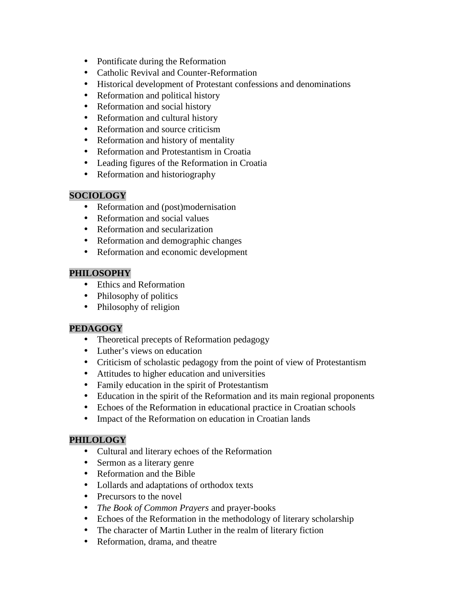- Pontificate during the Reformation
- Catholic Revival and Counter-Reformation
- Historical development of Protestant confessions and denominations
- Reformation and political history
- Reformation and social history
- Reformation and cultural history
- Reformation and source criticism
- Reformation and history of mentality
- Reformation and Protestantism in Croatia
- Leading figures of the Reformation in Croatia
- Reformation and historiography

### **SOCIOLOGY**

- Reformation and (post)modernisation
- Reformation and social values
- Reformation and secularization
- Reformation and demographic changes
- Reformation and economic development

### **PHILOSOPHY**

- Ethics and Reformation
- Philosophy of politics
- Philosophy of religion

### **PEDAGOGY**

- Theoretical precepts of Reformation pedagogy
- Luther's views on education
- Criticism of scholastic pedagogy from the point of view of Protestantism
- Attitudes to higher education and universities
- Family education in the spirit of Protestantism
- Education in the spirit of the Reformation and its main regional proponents
- Echoes of the Reformation in educational practice in Croatian schools
- Impact of the Reformation on education in Croatian lands

## **PHILOLOGY**

- Cultural and literary echoes of the Reformation
- Sermon as a literary genre
- Reformation and the Bible
- Lollards and adaptations of orthodox texts
- Precursors to the novel
- *The Book of Common Prayers* and prayer-books
- Echoes of the Reformation in the methodology of literary scholarship
- The character of Martin Luther in the realm of literary fiction
- Reformation, drama, and theatre